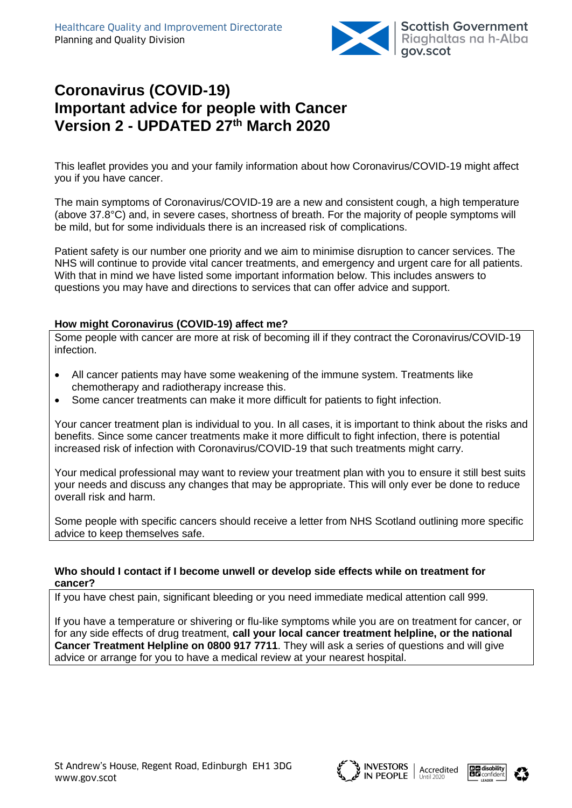

# **Coronavirus (COVID-19) Important advice for people with Cancer Version 2 - UPDATED 27 th March 2020**

This leaflet provides you and your family information about how Coronavirus/COVID-19 might affect you if you have cancer.

The main symptoms of Coronavirus/COVID-19 are a new and consistent cough, a high temperature (above 37.8°C) and, in severe cases, shortness of breath. For the majority of people symptoms will be mild, but for some individuals there is an increased risk of complications.

Patient safety is our number one priority and we aim to minimise disruption to cancer services. The NHS will continue to provide vital cancer treatments, and emergency and urgent care for all patients. With that in mind we have listed some important information below. This includes answers to questions you may have and directions to services that can offer advice and support.

#### **How might Coronavirus (COVID-19) affect me?**

Some people with cancer are more at risk of becoming ill if they contract the Coronavirus/COVID-19 infection.

- All cancer patients may have some weakening of the immune system. Treatments like chemotherapy and radiotherapy increase this.
- Some cancer treatments can make it more difficult for patients to fight infection.

Your cancer treatment plan is individual to you. In all cases, it is important to think about the risks and benefits. Since some cancer treatments make it more difficult to fight infection, there is potential increased risk of infection with Coronavirus/COVID-19 that such treatments might carry.

Your medical professional may want to review your treatment plan with you to ensure it still best suits your needs and discuss any changes that may be appropriate. This will only ever be done to reduce overall risk and harm.

Some people with specific cancers should receive a letter from NHS Scotland outlining more specific advice to keep themselves safe.

#### **Who should I contact if I become unwell or develop side effects while on treatment for cancer?**

If you have chest pain, significant bleeding or you need immediate medical attention call 999.

If you have a temperature or shivering or flu-like symptoms while you are on treatment for cancer, or for any side effects of drug treatment, **call your local cancer treatment helpline, or the national Cancer Treatment Helpline on 0800 917 7711**. They will ask a series of questions and will give advice or arrange for you to have a medical review at your nearest hospital.





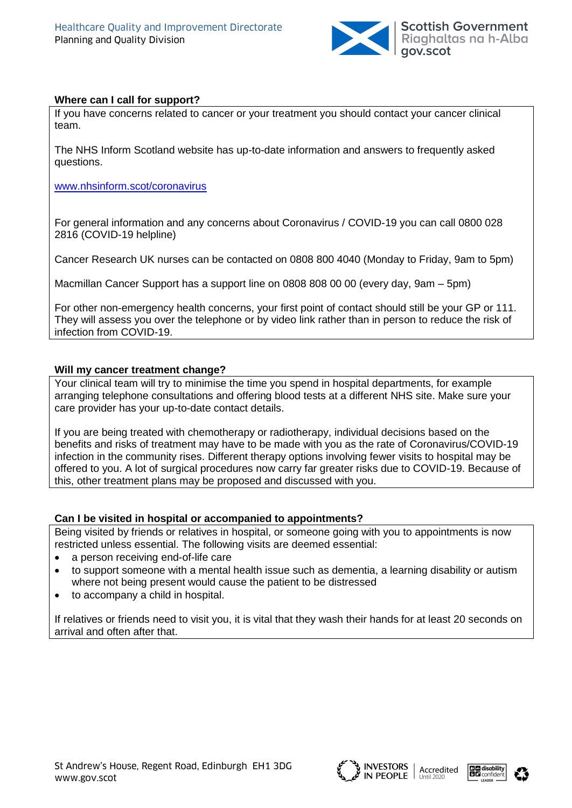

### **Where can I call for support?**

If you have concerns related to cancer or your treatment you should contact your cancer clinical team.

The NHS Inform Scotland website has up-to-date information and answers to frequently asked questions.

[www.nhsinform.scot/coronavirus](http://www.nhsinform.scot/coronavirus)

For general information and any concerns about Coronavirus / COVID-19 you can call 0800 028 2816 (COVID-19 helpline)

Cancer Research UK nurses can be contacted on 0808 800 4040 (Monday to Friday, 9am to 5pm)

Macmillan Cancer Support has a support line on 0808 808 00 00 (every day, 9am – 5pm)

For other non-emergency health concerns, your first point of contact should still be your GP or 111. They will assess you over the telephone or by video link rather than in person to reduce the risk of infection from COVID-19.

### **Will my cancer treatment change?**

Your clinical team will try to minimise the time you spend in hospital departments, for example arranging telephone consultations and offering blood tests at a different NHS site. Make sure your care provider has your up-to-date contact details.

If you are being treated with chemotherapy or radiotherapy, individual decisions based on the benefits and risks of treatment may have to be made with you as the rate of Coronavirus/COVID-19 infection in the community rises. Different therapy options involving fewer visits to hospital may be offered to you. A lot of surgical procedures now carry far greater risks due to COVID-19. Because of this, other treatment plans may be proposed and discussed with you.

#### **Can I be visited in hospital or accompanied to appointments?**

Being visited by friends or relatives in hospital, or someone going with you to appointments is now restricted unless essential. The following visits are deemed essential:

- a person receiving end-of-life care
- to support someone with a mental health issue such as dementia, a learning disability or autism where not being present would cause the patient to be distressed
- to accompany a child in hospital.

If relatives or friends need to visit you, it is vital that they wash their hands for at least 20 seconds on arrival and often after that.





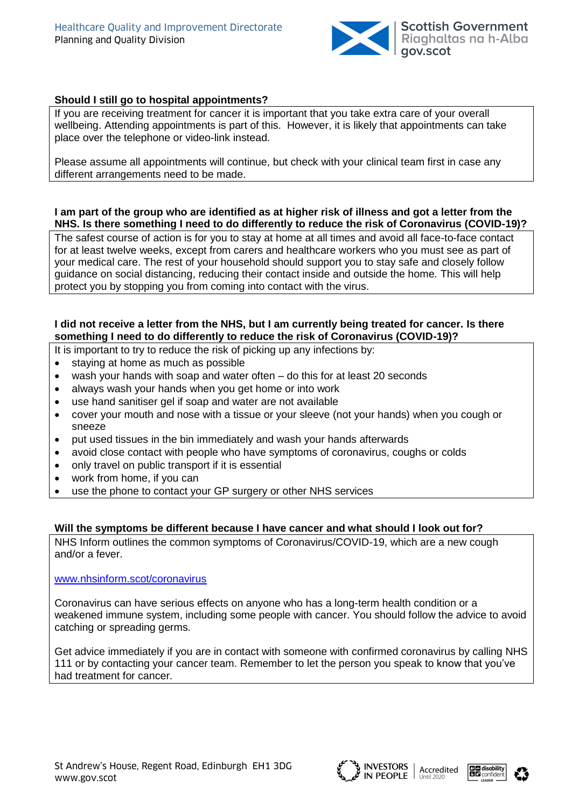

## **Should I still go to hospital appointments?**

If you are receiving treatment for cancer it is important that you take extra care of your overall wellbeing. Attending appointments is part of this. However, it is likely that appointments can take place over the telephone or video-link instead.

Please assume all appointments will continue, but check with your clinical team first in case any different arrangements need to be made.

#### **I am part of the group who are identified as at higher risk of illness and got a letter from the NHS. Is there something I need to do differently to reduce the risk of Coronavirus (COVID-19)?**

The safest course of action is for you to stay at home at all times and avoid all face-to-face contact for at least twelve weeks, except from carers and healthcare workers who you must see as part of your medical care. The rest of your household should support you to stay safe and closely follow guidance on social distancing, reducing their contact inside and outside the home. This will help protect you by stopping you from coming into contact with the virus.

#### **I did not receive a letter from the NHS, but I am currently being treated for cancer. Is there something I need to do differently to reduce the risk of Coronavirus (COVID-19)?**

- It is important to try to reduce the risk of picking up any infections by:
- staving at home as much as possible
- wash your hands with soap and water often do this for at least 20 seconds
- always wash your hands when you get home or into work
- use hand sanitiser gel if soap and water are not available
- cover your mouth and nose with a tissue or your sleeve (not your hands) when you cough or sneeze
- put used tissues in the bin immediately and wash your hands afterwards
- avoid close contact with people who have symptoms of coronavirus, coughs or colds
- only travel on public transport if it is essential
- work from home, if you can
- use the phone to contact your GP surgery or other NHS services

#### **Will the symptoms be different because I have cancer and what should I look out for?**

NHS Inform outlines the common symptoms of Coronavirus/COVID-19, which are a new cough and/or a fever.

#### [www.nhsinform.scot/coronavirus](http://www.nhsinform.scot/coronavirus)

Coronavirus can have serious effects on anyone who has a long-term health condition or a weakened immune system, including some people with cancer. You should follow the advice to avoid catching or spreading germs.

Get advice immediately if you are in contact with someone with confirmed coronavirus by calling NHS 111 or by contacting your cancer team. Remember to let the person you speak to know that you've had treatment for cancer.





![](_page_2_Picture_27.jpeg)